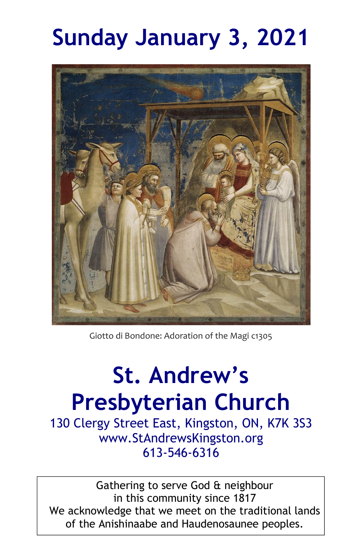# **Sunday January 3, 2021**



Giotto di Bondone: Adoration of the Magi c1305

# **St. Andrew's Presbyterian Church**

130 Clergy Street East, Kingston, ON, K7K 3S3 www.StAndrewsKingston.org 613-546-6316

Gathering to serve God & neighbour in this community since 1817 We acknowledge that we meet on the traditional lands of the Anishinaabe and Haudenosaunee peoples.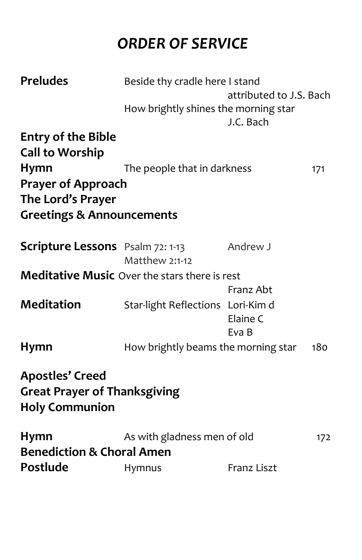## *ORDER OF SERVICE*

| <b>Preludes</b>                                                                        | Beside thy cradle here I stand                       |                         |     |
|----------------------------------------------------------------------------------------|------------------------------------------------------|-------------------------|-----|
|                                                                                        |                                                      | attributed to J.S. Bach |     |
|                                                                                        | How brightly shines the morning star                 | J.C. Bach               |     |
| <b>Entry of the Bible</b>                                                              |                                                      |                         |     |
| <b>Call to Worship</b>                                                                 |                                                      |                         |     |
| Hymn                                                                                   | The people that in darkness                          |                         | 171 |
| <b>Prayer of Approach</b><br>The Lord's Prayer                                         |                                                      |                         |     |
| <b>Greetings &amp; Announcements</b>                                                   |                                                      |                         |     |
| <b>Scripture Lessons</b> Psalm 72: 1-13                                                | Matthew 2:1-12                                       | Andrew J                |     |
|                                                                                        | <b>Meditative Music</b> Over the stars there is rest |                         |     |
|                                                                                        |                                                      | Franz Abt               |     |
| <b>Meditation</b>                                                                      | Star-light Reflections Lori-Kim d                    |                         |     |
|                                                                                        |                                                      | Elaine C<br>Eva B       |     |
| <b>Hymn</b>                                                                            | How brightly beams the morning star                  |                         | 180 |
| <b>Apostles' Creed</b><br><b>Great Prayer of Thanksgiving</b><br><b>Holy Communion</b> |                                                      |                         |     |
| <b>Hymn</b>                                                                            | As with gladness men of old                          |                         | 172 |
| <b>Benediction &amp; Choral Amen</b>                                                   |                                                      |                         |     |
| Postlude                                                                               | Hymnus                                               | Franz Liszt             |     |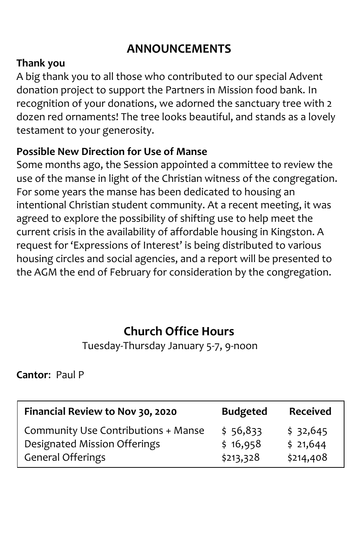### **ANNOUNCEMENTS**

#### **Thank you**

A big thank you to all those who contributed to our special Advent donation project to support the Partners in Mission food bank. In recognition of your donations, we adorned the sanctuary tree with 2 dozen red ornaments! The tree looks beautiful, and stands as a lovely testament to your generosity.

#### **Possible New Direction for Use of Manse**

Some months ago, the Session appointed a committee to review the use of the manse in light of the Christian witness of the congregation. For some years the manse has been dedicated to housing an intentional Christian student community. At a recent meeting, it was agreed to explore the possibility of shifting use to help meet the current crisis in the availability of affordable housing in Kingston. A request for 'Expressions of Interest' is being distributed to various housing circles and social agencies, and a report will be presented to the AGM the end of February for consideration by the congregation.

### **Church Office Hours**

Tuesday-Thursday January 5-7, 9-noon

**Cantor**: Paul P

| Financial Review to Nov 30, 2020    | <b>Budgeted</b> | <b>Received</b> |
|-------------------------------------|-----------------|-----------------|
| Community Use Contributions + Manse | \$56,833        | \$32,645        |
| Designated Mission Offerings        | \$16,958        | \$21,644        |
| <b>General Offerings</b>            | \$213,328       | \$214,408       |